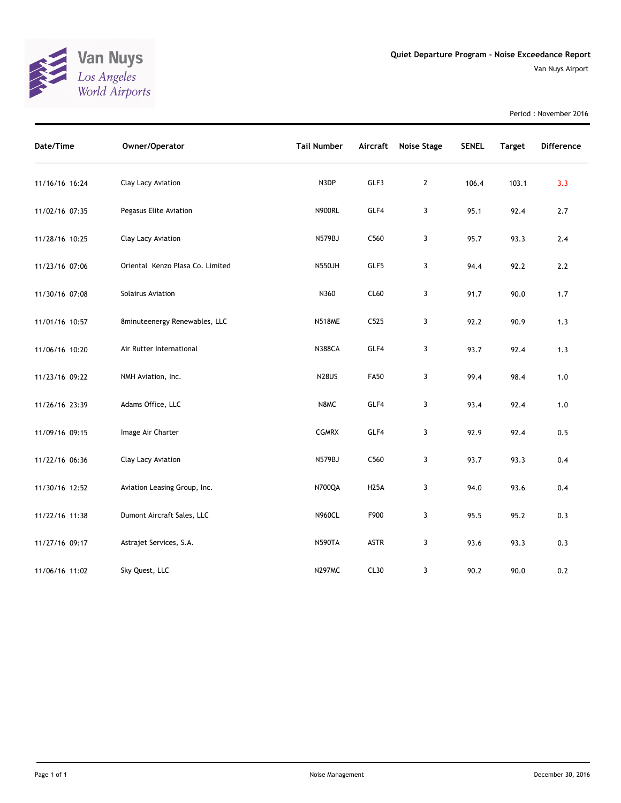

Period : November 2016

| Date/Time      | Owner/Operator                   | <b>Tail Number</b> | Aircraft    | Noise Stage    | <b>SENEL</b> | <b>Target</b> | <b>Difference</b> |
|----------------|----------------------------------|--------------------|-------------|----------------|--------------|---------------|-------------------|
| 11/16/16 16:24 | Clay Lacy Aviation               | N3DP               | GLF3        | $\overline{2}$ | 106.4        | 103.1         | 3.3               |
| 11/02/16 07:35 | Pegasus Elite Aviation           | <b>N900RL</b>      | GLF4        | 3              | 95.1         | 92.4          | 2.7               |
| 11/28/16 10:25 | Clay Lacy Aviation               | N579BJ             | C560        | 3              | 95.7         | 93.3          | 2.4               |
| 11/23/16 07:06 | Oriental Kenzo Plasa Co. Limited | <b>N550JH</b>      | GLF5        | 3              | 94.4         | 92.2          | 2.2               |
| 11/30/16 07:08 | Solairus Aviation                | N360               | CL60        | 3              | 91.7         | 90.0          | 1.7               |
| 11/01/16 10:57 | 8minuteenergy Renewables, LLC    | <b>N518ME</b>      | C525        | 3              | 92.2         | 90.9          | 1.3               |
| 11/06/16 10:20 | Air Rutter International         | <b>N388CA</b>      | GLF4        | 3              | 93.7         | 92.4          | 1.3               |
| 11/23/16 09:22 | NMH Aviation, Inc.               | <b>N28US</b>       | <b>FA50</b> | 3              | 99.4         | 98.4          | $1.0$             |
| 11/26/16 23:39 | Adams Office, LLC                | N8MC               | GLF4        | 3              | 93.4         | 92.4          | 1.0               |
| 11/09/16 09:15 | Image Air Charter                | <b>CGMRX</b>       | GLF4        | 3              | 92.9         | 92.4          | 0.5               |
| 11/22/16 06:36 | Clay Lacy Aviation               | N579BJ             | C560        | 3              | 93.7         | 93.3          | 0.4               |
| 11/30/16 12:52 | Aviation Leasing Group, Inc.     | N700QA             | <b>H25A</b> | 3              | 94.0         | 93.6          | 0.4               |
| 11/22/16 11:38 | Dumont Aircraft Sales, LLC       | <b>N960CL</b>      | F900        | 3              | 95.5         | 95.2          | 0.3               |
| 11/27/16 09:17 | Astrajet Services, S.A.          | <b>N590TA</b>      | <b>ASTR</b> | 3              | 93.6         | 93.3          | 0.3               |
| 11/06/16 11:02 | Sky Quest, LLC                   | <b>N297MC</b>      | CL30        | 3              | 90.2         | 90.0          | 0.2               |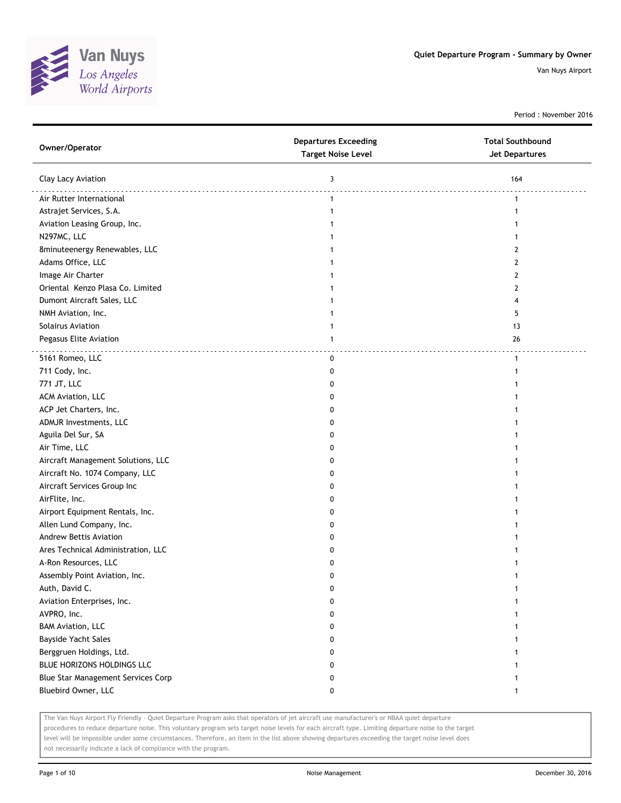

Period : November 2016

| Owner/Operator                     | <b>Departures Exceeding</b><br><b>Target Noise Level</b> | <b>Total Southbound</b><br><b>Jet Departures</b> |
|------------------------------------|----------------------------------------------------------|--------------------------------------------------|
| Clay Lacy Aviation                 | 3                                                        | 164                                              |
| Air Rutter International           | $\mathbf{1}$                                             | 1                                                |
| Astrajet Services, S.A.            | $\mathbf{1}$                                             | 1                                                |
| Aviation Leasing Group, Inc.       |                                                          |                                                  |
| N297MC, LLC                        |                                                          |                                                  |
| 8minuteenergy Renewables, LLC      | 1                                                        | 2                                                |
| Adams Office, LLC                  | 1                                                        | 2                                                |
| Image Air Charter                  | 1                                                        | 2                                                |
| Oriental Kenzo Plasa Co. Limited   | 1                                                        | 2                                                |
| Dumont Aircraft Sales, LLC         | 1                                                        | 4                                                |
| NMH Aviation, Inc.                 | 1                                                        | 5                                                |
| Solairus Aviation                  | 1                                                        | 13                                               |
| Pegasus Elite Aviation             | $\mathbf{1}$                                             | 26                                               |
| 5161 Romeo, LLC                    | 0                                                        | $\mathbf{1}$                                     |
| 711 Cody, Inc.                     | 0                                                        |                                                  |
| 771 JT, LLC                        | 0                                                        |                                                  |
| ACM Aviation, LLC                  | 0                                                        |                                                  |
| ACP Jet Charters, Inc.             | 0                                                        |                                                  |
| ADMJR Investments, LLC             | 0                                                        |                                                  |
| Aguila Del Sur, SA                 | 0                                                        |                                                  |
| Air Time, LLC                      | 0                                                        |                                                  |
| Aircraft Management Solutions, LLC | 0                                                        |                                                  |
| Aircraft No. 1074 Company, LLC     | 0                                                        |                                                  |
| Aircraft Services Group Inc        | 0                                                        |                                                  |
| AirFlite, Inc.                     | 0                                                        |                                                  |
| Airport Equipment Rentals, Inc.    | 0                                                        |                                                  |
| Allen Lund Company, Inc.           | 0                                                        |                                                  |
| Andrew Bettis Aviation             | 0                                                        |                                                  |
| Ares Technical Administration, LLC | 0                                                        |                                                  |
| A-Ron Resources, LLC               | 0                                                        |                                                  |
| Assembly Point Aviation, Inc.      | 0                                                        |                                                  |
| Auth, David C.                     |                                                          |                                                  |
| Aviation Enterprises, Inc.         | 0                                                        |                                                  |
| AVPRO, Inc.                        | 0                                                        |                                                  |
| <b>BAM Aviation, LLC</b>           | 0                                                        |                                                  |
| <b>Bayside Yacht Sales</b>         | 0                                                        |                                                  |
| Berggruen Holdings, Ltd.           | 0                                                        |                                                  |
| BLUE HORIZONS HOLDINGS LLC         | 0                                                        |                                                  |
| Blue Star Management Services Corp | 0                                                        |                                                  |
| Bluebird Owner, LLC                | 0                                                        | 1                                                |

The Van Nuys Airport Fly Friendly - Quiet Departure Program asks that operators of jet aircraft use manufacturer's or NBAA quiet departure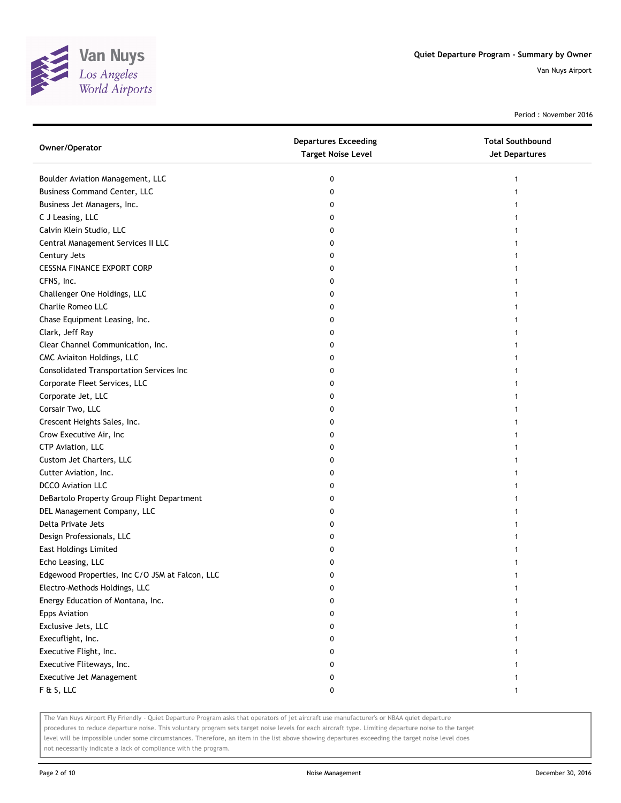

Period : November 2016

| Owner/Operator                                  | <b>Departures Exceeding</b><br><b>Target Noise Level</b> | <b>Total Southbound</b><br><b>Jet Departures</b> |
|-------------------------------------------------|----------------------------------------------------------|--------------------------------------------------|
| Boulder Aviation Management, LLC                | 0                                                        |                                                  |
| <b>Business Command Center, LLC</b>             | 0                                                        |                                                  |
| Business Jet Managers, Inc.                     | 0                                                        |                                                  |
| C J Leasing, LLC                                | 0                                                        |                                                  |
| Calvin Klein Studio, LLC                        | 0                                                        |                                                  |
| Central Management Services II LLC              | 0                                                        |                                                  |
| Century Jets                                    | 0                                                        |                                                  |
| <b>CESSNA FINANCE EXPORT CORP</b>               | 0                                                        |                                                  |
| CFNS, Inc.                                      | 0                                                        |                                                  |
| Challenger One Holdings, LLC                    | 0                                                        |                                                  |
| Charlie Romeo LLC                               | 0                                                        |                                                  |
| Chase Equipment Leasing, Inc.                   | 0                                                        |                                                  |
| Clark, Jeff Ray                                 | 0                                                        |                                                  |
| Clear Channel Communication, Inc.               | 0                                                        |                                                  |
| CMC Aviaiton Holdings, LLC                      | 0                                                        |                                                  |
| Consolidated Transportation Services Inc        | 0                                                        |                                                  |
| Corporate Fleet Services, LLC                   | 0                                                        |                                                  |
| Corporate Jet, LLC                              | 0                                                        |                                                  |
| Corsair Two, LLC                                | 0                                                        |                                                  |
| Crescent Heights Sales, Inc.                    | 0                                                        |                                                  |
| Crow Executive Air, Inc                         | 0                                                        |                                                  |
| CTP Aviation, LLC                               | 0                                                        |                                                  |
| Custom Jet Charters, LLC                        | 0                                                        |                                                  |
| Cutter Aviation, Inc.                           | 0                                                        |                                                  |
| <b>DCCO Aviation LLC</b>                        | 0                                                        |                                                  |
| DeBartolo Property Group Flight Department      | 0                                                        |                                                  |
| DEL Management Company, LLC                     | 0                                                        |                                                  |
| Delta Private Jets                              | 0                                                        |                                                  |
| Design Professionals, LLC                       | 0                                                        |                                                  |
| <b>East Holdings Limited</b>                    | 0                                                        |                                                  |
| Echo Leasing, LLC                               | 0                                                        |                                                  |
| Edgewood Properties, Inc C/O JSM at Falcon, LLC | 0                                                        |                                                  |
| Electro-Methods Holdings, LLC                   | 0                                                        |                                                  |
| Energy Education of Montana, Inc.               | 0                                                        |                                                  |
| <b>Epps Aviation</b>                            | 0                                                        |                                                  |
| Exclusive Jets, LLC                             | 0                                                        |                                                  |
| Execuflight, Inc.                               | 0                                                        |                                                  |
| Executive Flight, Inc.                          | 0                                                        |                                                  |
| Executive Fliteways, Inc.                       | 0                                                        |                                                  |
| Executive Jet Management                        | 0                                                        |                                                  |
| F & S, LLC                                      | 0                                                        | 1                                                |

The Van Nuys Airport Fly Friendly - Quiet Departure Program asks that operators of jet aircraft use manufacturer's or NBAA quiet departure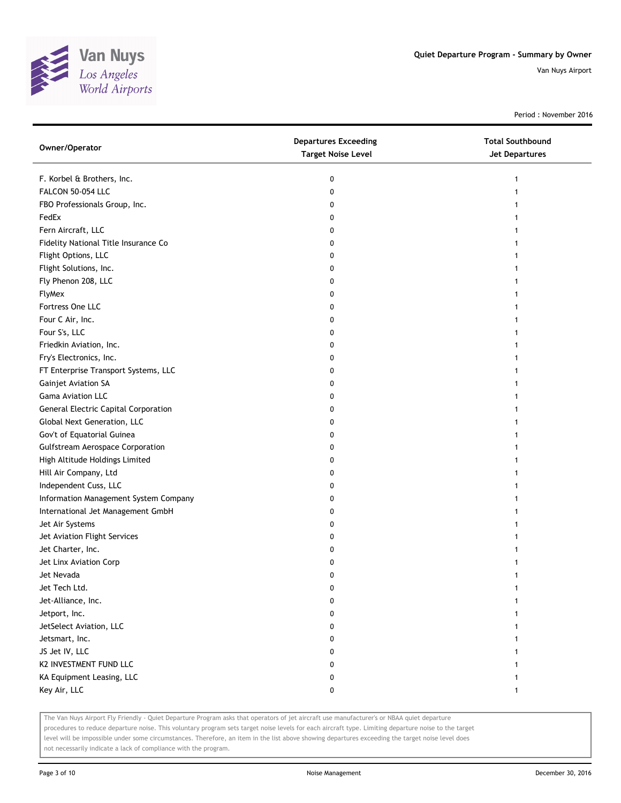

Period : November 2016

| Owner/Operator                              | <b>Departures Exceeding</b><br><b>Target Noise Level</b> | <b>Total Southbound</b><br><b>Jet Departures</b> |
|---------------------------------------------|----------------------------------------------------------|--------------------------------------------------|
| F. Korbel & Brothers, Inc.                  | 0                                                        | 1                                                |
| FALCON 50-054 LLC                           | 0                                                        |                                                  |
| FBO Professionals Group, Inc.               | 0                                                        |                                                  |
| FedEx                                       | 0                                                        |                                                  |
| Fern Aircraft, LLC                          | 0                                                        |                                                  |
| Fidelity National Title Insurance Co        | 0                                                        |                                                  |
| Flight Options, LLC                         | 0                                                        |                                                  |
| Flight Solutions, Inc.                      | 0                                                        |                                                  |
| Fly Phenon 208, LLC                         | 0                                                        |                                                  |
| <b>FlyMex</b>                               | 0                                                        |                                                  |
| Fortress One LLC                            | 0                                                        |                                                  |
| Four C Air, Inc.                            | 0                                                        |                                                  |
| Four S's, LLC                               | 0                                                        |                                                  |
| Friedkin Aviation, Inc.                     | 0                                                        |                                                  |
| Fry's Electronics, Inc.                     |                                                          |                                                  |
| FT Enterprise Transport Systems, LLC        | 0                                                        |                                                  |
| Gainjet Aviation SA                         | 0                                                        |                                                  |
| <b>Gama Aviation LLC</b>                    | 0                                                        |                                                  |
| <b>General Electric Capital Corporation</b> | 0                                                        |                                                  |
| Global Next Generation, LLC                 | 0                                                        |                                                  |
| Gov't of Equatorial Guinea                  | 0                                                        |                                                  |
| <b>Gulfstream Aerospace Corporation</b>     | 0                                                        |                                                  |
| High Altitude Holdings Limited              | 0                                                        |                                                  |
| Hill Air Company, Ltd                       | 0                                                        |                                                  |
| Independent Cuss, LLC                       | 0                                                        |                                                  |
| Information Management System Company       | 0                                                        |                                                  |
| International Jet Management GmbH           | 0                                                        |                                                  |
| Jet Air Systems                             | 0                                                        |                                                  |
| Jet Aviation Flight Services                | 0                                                        |                                                  |
| Jet Charter, Inc.                           | 0                                                        |                                                  |
| Jet Linx Aviation Corp                      | 0                                                        |                                                  |
| Jet Nevada                                  | 0                                                        |                                                  |
| Jet Tech Ltd.                               | 0                                                        |                                                  |
| Jet-Alliance, Inc.                          | 0                                                        |                                                  |
| Jetport, Inc.                               | 0                                                        |                                                  |
| JetSelect Aviation, LLC                     | 0                                                        |                                                  |
| Jetsmart, Inc.                              | 0                                                        |                                                  |
| JS Jet IV, LLC                              | 0                                                        |                                                  |
| K2 INVESTMENT FUND LLC                      | 0                                                        |                                                  |
| KA Equipment Leasing, LLC                   | 0                                                        |                                                  |
| Key Air, LLC                                | 0                                                        | 1                                                |

The Van Nuys Airport Fly Friendly - Quiet Departure Program asks that operators of jet aircraft use manufacturer's or NBAA quiet departure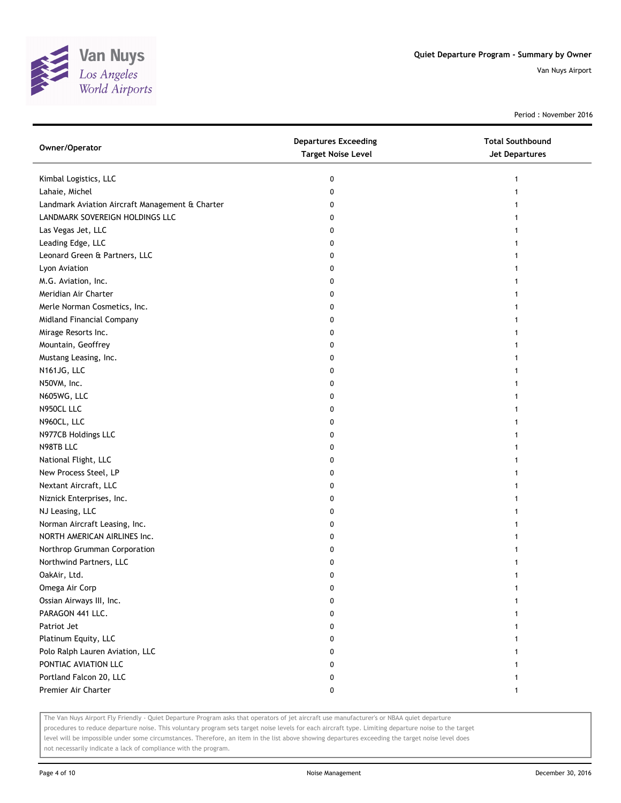

Period : November 2016

| Owner/Operator                                  | <b>Departures Exceeding</b><br><b>Target Noise Level</b> | <b>Total Southbound</b><br>Jet Departures |
|-------------------------------------------------|----------------------------------------------------------|-------------------------------------------|
| Kimbal Logistics, LLC                           | 0                                                        |                                           |
| Lahaie, Michel                                  | 0                                                        |                                           |
| Landmark Aviation Aircraft Management & Charter | 0                                                        |                                           |
| LANDMARK SOVEREIGN HOLDINGS LLC                 | 0                                                        |                                           |
| Las Vegas Jet, LLC                              | 0                                                        |                                           |
| Leading Edge, LLC                               | 0                                                        |                                           |
| Leonard Green & Partners, LLC                   | 0                                                        |                                           |
| Lyon Aviation                                   | 0                                                        |                                           |
| M.G. Aviation, Inc.                             | 0                                                        |                                           |
| Meridian Air Charter                            | 0                                                        |                                           |
| Merle Norman Cosmetics, Inc.                    | 0                                                        |                                           |
| Midland Financial Company                       | 0                                                        |                                           |
| Mirage Resorts Inc.                             | 0                                                        |                                           |
| Mountain, Geoffrey                              | 0                                                        |                                           |
| Mustang Leasing, Inc.                           | 0                                                        |                                           |
| N161JG, LLC                                     | 0                                                        |                                           |
| N50VM, Inc.                                     | 0                                                        | 1                                         |
| N605WG, LLC                                     | 0                                                        |                                           |
| N950CL LLC                                      | 0                                                        |                                           |
| N960CL, LLC                                     | 0                                                        |                                           |
| N977CB Holdings LLC                             | 0                                                        |                                           |
| N98TB LLC                                       | 0                                                        |                                           |
| National Flight, LLC                            | 0                                                        |                                           |
| New Process Steel, LP                           | 0                                                        |                                           |
| Nextant Aircraft, LLC                           | 0                                                        |                                           |
| Niznick Enterprises, Inc.                       | 0                                                        | 1                                         |
| NJ Leasing, LLC                                 | 0                                                        | 1                                         |
| Norman Aircraft Leasing, Inc.                   | 0                                                        |                                           |
| NORTH AMERICAN AIRLINES Inc.                    | 0                                                        |                                           |
| Northrop Grumman Corporation                    | 0                                                        |                                           |
| Northwind Partners, LLC                         | 0                                                        |                                           |
| OakAir, Ltd.                                    | 0                                                        |                                           |
| Omega Air Corp                                  | 0                                                        |                                           |
| Ossian Airways III, Inc.                        | 0                                                        |                                           |
| PARAGON 441 LLC.                                | 0                                                        |                                           |
| Patriot Jet                                     | 0                                                        |                                           |
| Platinum Equity, LLC                            | 0                                                        |                                           |
| Polo Ralph Lauren Aviation, LLC                 | 0                                                        |                                           |
| PONTIAC AVIATION LLC                            | 0                                                        |                                           |
| Portland Falcon 20, LLC                         | 0                                                        |                                           |
| Premier Air Charter                             | 0                                                        | 1                                         |
|                                                 |                                                          |                                           |

The Van Nuys Airport Fly Friendly - Quiet Departure Program asks that operators of jet aircraft use manufacturer's or NBAA quiet departure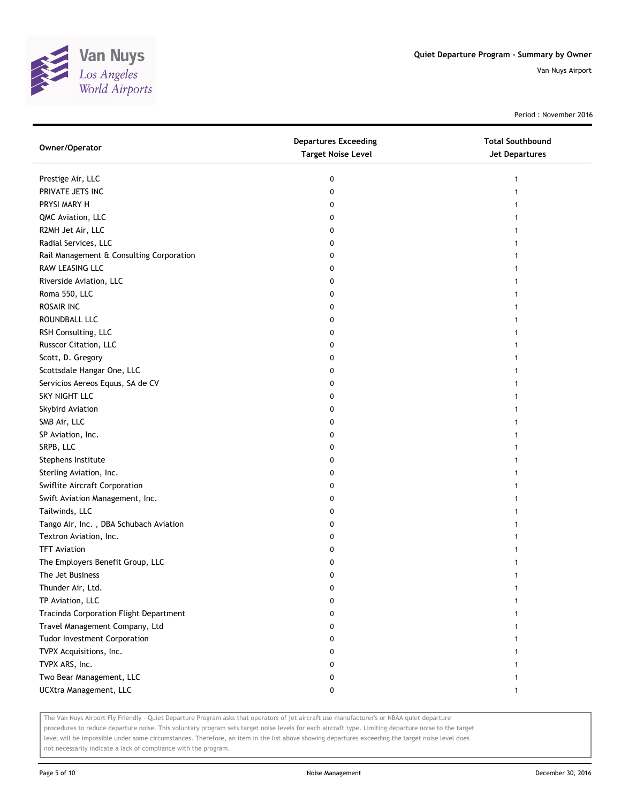

Period : November 2016

| Owner/Operator                           | <b>Departures Exceeding</b><br><b>Target Noise Level</b> | <b>Total Southbound</b><br><b>Jet Departures</b> |
|------------------------------------------|----------------------------------------------------------|--------------------------------------------------|
| Prestige Air, LLC                        | 0                                                        |                                                  |
| PRIVATE JETS INC                         | 0                                                        |                                                  |
| PRYSI MARY H                             | 0                                                        |                                                  |
| QMC Aviation, LLC                        | 0                                                        |                                                  |
| R2MH Jet Air, LLC                        | 0                                                        |                                                  |
| Radial Services, LLC                     | 0                                                        |                                                  |
| Rail Management & Consulting Corporation | 0                                                        |                                                  |
| RAW LEASING LLC                          | 0                                                        |                                                  |
| Riverside Aviation, LLC                  | 0                                                        |                                                  |
| Roma 550, LLC                            | 0                                                        |                                                  |
| ROSAIR INC                               | 0                                                        |                                                  |
| ROUNDBALL LLC                            | 0                                                        |                                                  |
| RSH Consulting, LLC                      | 0                                                        |                                                  |
| Russcor Citation, LLC                    | 0                                                        |                                                  |
| Scott, D. Gregory                        | 0                                                        |                                                  |
| Scottsdale Hangar One, LLC               | 0                                                        | 1                                                |
| Servicios Aereos Equus, SA de CV         | 0                                                        |                                                  |
| SKY NIGHT LLC                            | 0                                                        |                                                  |
| Skybird Aviation                         | 0                                                        |                                                  |
| SMB Air, LLC                             | 0                                                        |                                                  |
| SP Aviation, Inc.                        | 0                                                        |                                                  |
| SRPB, LLC                                | 0                                                        |                                                  |
| Stephens Institute                       | 0                                                        |                                                  |
| Sterling Aviation, Inc.                  | 0                                                        |                                                  |
| Swiflite Aircraft Corporation            | 0                                                        |                                                  |
| Swift Aviation Management, Inc.          | 0                                                        |                                                  |
| Tailwinds, LLC                           | 0                                                        |                                                  |
| Tango Air, Inc., DBA Schubach Aviation   | 0                                                        |                                                  |
| Textron Aviation, Inc.                   | 0                                                        |                                                  |
| <b>TFT Aviation</b>                      | 0                                                        |                                                  |
| The Employers Benefit Group, LLC         | 0                                                        |                                                  |
| The Jet Business                         | 0                                                        |                                                  |
| Thunder Air, Ltd.                        | 0                                                        |                                                  |
| TP Aviation, LLC                         | 0                                                        |                                                  |
| Tracinda Corporation Flight Department   | 0                                                        |                                                  |
| Travel Management Company, Ltd           | 0                                                        |                                                  |
| Tudor Investment Corporation             | 0                                                        |                                                  |
| TVPX Acquisitions, Inc.                  | 0                                                        |                                                  |
| TVPX ARS, Inc.                           | 0                                                        |                                                  |
| Two Bear Management, LLC                 | 0                                                        |                                                  |
| UCXtra Management, LLC                   | 0                                                        | 1                                                |

The Van Nuys Airport Fly Friendly - Quiet Departure Program asks that operators of jet aircraft use manufacturer's or NBAA quiet departure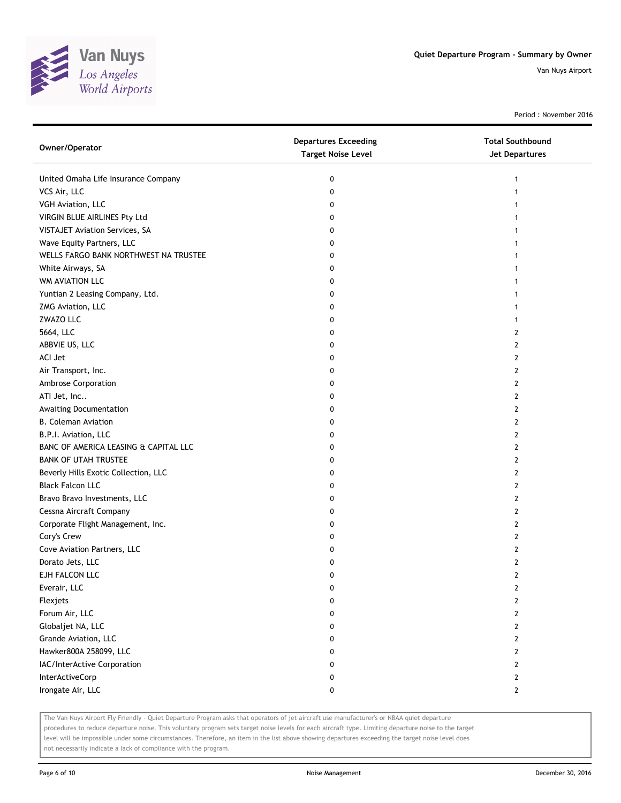

Period : November 2016

| Owner/Operator                        | <b>Departures Exceeding</b><br><b>Target Noise Level</b> | <b>Total Southbound</b><br>Jet Departures |
|---------------------------------------|----------------------------------------------------------|-------------------------------------------|
| United Omaha Life Insurance Company   | 0                                                        | 1                                         |
| VCS Air, LLC                          | 0                                                        |                                           |
| VGH Aviation, LLC                     | 0                                                        |                                           |
| VIRGIN BLUE AIRLINES Pty Ltd          | 0                                                        |                                           |
| VISTAJET Aviation Services, SA        | 0                                                        |                                           |
| Wave Equity Partners, LLC             | 0                                                        |                                           |
| WELLS FARGO BANK NORTHWEST NA TRUSTEE | 0                                                        | 1                                         |
| White Airways, SA                     | 0                                                        | 1                                         |
| WM AVIATION LLC                       | 0                                                        |                                           |
| Yuntian 2 Leasing Company, Ltd.       | 0                                                        |                                           |
| ZMG Aviation, LLC                     | 0                                                        |                                           |
| ZWAZO LLC                             | 0                                                        | 1                                         |
| 5664, LLC                             | 0                                                        | 2                                         |
| ABBVIE US, LLC                        | 0                                                        | 2                                         |
| ACI Jet                               | 0                                                        | $\mathbf{2}$                              |
| Air Transport, Inc.                   | 0                                                        | 2                                         |
| Ambrose Corporation                   | 0                                                        | 2                                         |
| ATI Jet, Inc                          | 0                                                        | 2                                         |
| Awaiting Documentation                | 0                                                        | 2                                         |
| <b>B. Coleman Aviation</b>            | 0                                                        | $\overline{2}$                            |
| B.P.I. Aviation, LLC                  | 0                                                        | $\overline{2}$                            |
| BANC OF AMERICA LEASING & CAPITAL LLC | 0                                                        | 2                                         |
| <b>BANK OF UTAH TRUSTEE</b>           | 0                                                        | 2                                         |
| Beverly Hills Exotic Collection, LLC  | 0                                                        | 2                                         |
| <b>Black Falcon LLC</b>               | 0                                                        | $\mathbf{2}$                              |
| Bravo Bravo Investments, LLC          | 0                                                        | 2                                         |
| Cessna Aircraft Company               | 0                                                        | 2                                         |
| Corporate Flight Management, Inc.     | 0                                                        | 2                                         |
| Cory's Crew                           | 0                                                        | 2                                         |
| Cove Aviation Partners, LLC           | 0                                                        | $\mathbf{2}$                              |
| Dorato Jets, LLC                      | 0                                                        | $\mathbf{2}$                              |
| EJH FALCON LLC                        | 0                                                        | $\mathbf{2}$                              |
| Everair, LLC                          | 0                                                        | 2                                         |
| Flexjets                              | 0                                                        | $\mathbf{2}$                              |
| Forum Air, LLC                        | 0                                                        | $\overline{2}$                            |
| Globaljet NA, LLC                     | 0                                                        | $\overline{2}$                            |
| Grande Aviation, LLC                  | 0                                                        | $\mathbf{2}$                              |
| Hawker800A 258099, LLC                | 0                                                        | $\mathbf{2}$                              |
| IAC/InterActive Corporation           | 0                                                        | $\mathbf{2}$                              |
| InterActiveCorp                       | 0                                                        | $\mathbf{2}$                              |
| Irongate Air, LLC                     | 0                                                        | $\mathbf{2}$                              |
|                                       |                                                          |                                           |

The Van Nuys Airport Fly Friendly - Quiet Departure Program asks that operators of jet aircraft use manufacturer's or NBAA quiet departure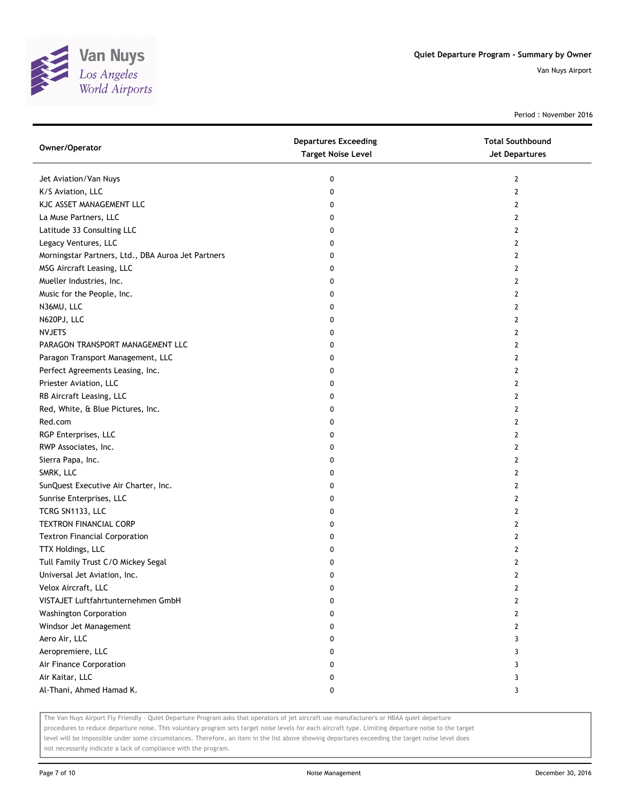

Period : November 2016

| Owner/Operator                                     | <b>Departures Exceeding</b><br><b>Target Noise Level</b> | <b>Total Southbound</b><br><b>Jet Departures</b> |
|----------------------------------------------------|----------------------------------------------------------|--------------------------------------------------|
| Jet Aviation/Van Nuys                              | 0                                                        | 2                                                |
| K/S Aviation, LLC                                  | 0                                                        | 2                                                |
| KJC ASSET MANAGEMENT LLC                           | 0                                                        | 2                                                |
| La Muse Partners, LLC                              | 0                                                        | 2                                                |
| Latitude 33 Consulting LLC                         | 0                                                        | 2                                                |
| Legacy Ventures, LLC                               | 0                                                        | 2                                                |
| Morningstar Partners, Ltd., DBA Auroa Jet Partners | 0                                                        | 2                                                |
| MSG Aircraft Leasing, LLC                          | 0                                                        | 2                                                |
| Mueller Industries, Inc.                           | 0                                                        | 2                                                |
| Music for the People, Inc.                         | 0                                                        | 2                                                |
| N36MU, LLC                                         | 0                                                        | 2                                                |
| N620PJ, LLC                                        | 0                                                        | 2                                                |
| <b>NVJETS</b>                                      | 0                                                        | 2                                                |
| PARAGON TRANSPORT MANAGEMENT LLC                   | 0                                                        | 2                                                |
| Paragon Transport Management, LLC                  | 0                                                        | 2                                                |
| Perfect Agreements Leasing, Inc.                   | 0                                                        | 2                                                |
| Priester Aviation, LLC                             | 0                                                        | $\mathbf{2}$                                     |
| RB Aircraft Leasing, LLC                           | 0                                                        | 2                                                |
| Red, White, & Blue Pictures, Inc.                  | 0                                                        | 2                                                |
| Red.com                                            | 0                                                        | 2                                                |
| RGP Enterprises, LLC                               | 0                                                        | 2                                                |
| RWP Associates, Inc.                               | 0                                                        | 2                                                |
| Sierra Papa, Inc.                                  | 0                                                        | 2                                                |
| SMRK, LLC                                          | 0                                                        | 2                                                |
| SunQuest Executive Air Charter, Inc.               | 0                                                        | 2                                                |
| Sunrise Enterprises, LLC                           | 0                                                        | 2                                                |
| TCRG SN1133, LLC                                   | 0                                                        | 2                                                |
| TEXTRON FINANCIAL CORP                             | 0                                                        | 2                                                |
| <b>Textron Financial Corporation</b>               | 0                                                        | 2                                                |
| TTX Holdings, LLC                                  | 0                                                        | 2                                                |
| Tull Family Trust C/O Mickey Segal                 | 0                                                        | 2                                                |
| Universal Jet Aviation, Inc.                       | 0                                                        | 2                                                |
| Velox Aircraft, LLC                                | 0                                                        | 2                                                |
| VISTAJET Luftfahrtunternehmen GmbH                 | 0                                                        | 2                                                |
| <b>Washington Corporation</b>                      | 0                                                        | $\overline{2}$                                   |
| Windsor Jet Management                             | 0                                                        | 2                                                |
| Aero Air, LLC                                      | 0                                                        | 3                                                |
| Aeropremiere, LLC                                  | 0                                                        | 3                                                |
| Air Finance Corporation                            | 0                                                        | 3                                                |
| Air Kaitar, LLC                                    | 0                                                        | 3                                                |
| Al-Thani, Ahmed Hamad K.                           | 0                                                        | 3                                                |

The Van Nuys Airport Fly Friendly - Quiet Departure Program asks that operators of jet aircraft use manufacturer's or NBAA quiet departure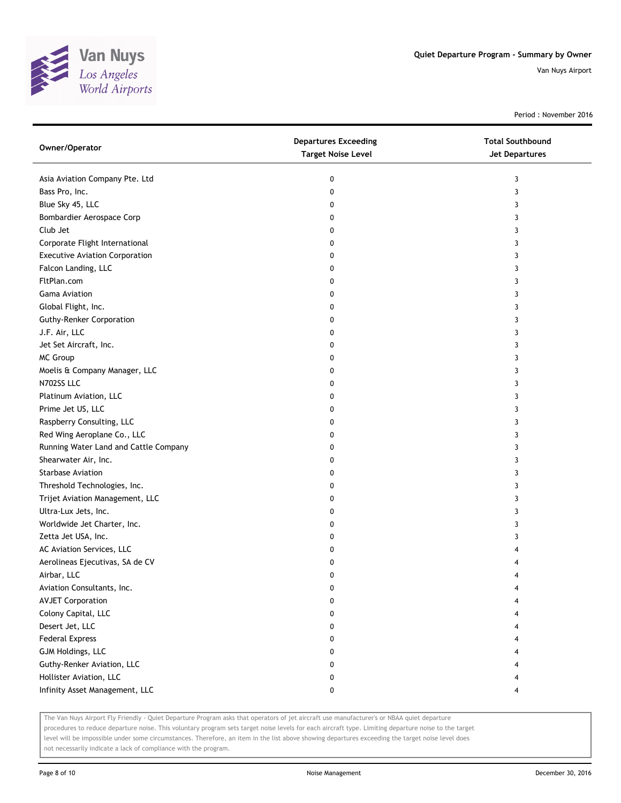

Period : November 2016

| Owner/Operator                        | <b>Departures Exceeding</b><br><b>Target Noise Level</b> | <b>Total Southbound</b><br>Jet Departures |
|---------------------------------------|----------------------------------------------------------|-------------------------------------------|
| Asia Aviation Company Pte. Ltd        | 0                                                        | 3                                         |
| Bass Pro, Inc.                        | 0                                                        | 3                                         |
| Blue Sky 45, LLC                      | 0                                                        | 3                                         |
| Bombardier Aerospace Corp             | 0                                                        | 3                                         |
| Club Jet                              | 0                                                        | 3                                         |
| Corporate Flight International        | 0                                                        | 3                                         |
| <b>Executive Aviation Corporation</b> | 0                                                        | 3                                         |
| Falcon Landing, LLC                   | 0                                                        | 3                                         |
| FltPlan.com                           | 0                                                        | 3                                         |
| <b>Gama Aviation</b>                  | 0                                                        | 3                                         |
| Global Flight, Inc.                   | 0                                                        | 3                                         |
| <b>Guthy-Renker Corporation</b>       | 0                                                        | 3                                         |
| J.F. Air, LLC                         | 0                                                        | 3                                         |
| Jet Set Aircraft, Inc.                | 0                                                        | 3                                         |
| <b>MC Group</b>                       | 0                                                        | 3                                         |
| Moelis & Company Manager, LLC         | 0                                                        | 3                                         |
| N702SS LLC                            | 0                                                        | 3                                         |
| Platinum Aviation, LLC                | 0                                                        | 3                                         |
| Prime Jet US, LLC                     | 0                                                        | 3                                         |
| Raspberry Consulting, LLC             | 0                                                        | 3                                         |
| Red Wing Aeroplane Co., LLC           | 0                                                        | 3                                         |
| Running Water Land and Cattle Company | 0                                                        | 3                                         |
| Shearwater Air, Inc.                  | 0                                                        | 3                                         |
| <b>Starbase Aviation</b>              | 0                                                        | 3                                         |
| Threshold Technologies, Inc.          | 0                                                        | 3                                         |
| Trijet Aviation Management, LLC       | 0                                                        | 3                                         |
| Ultra-Lux Jets, Inc.                  | 0                                                        | 3                                         |
| Worldwide Jet Charter, Inc.           | 0                                                        | 3                                         |
| Zetta Jet USA, Inc.                   | 0                                                        | 3                                         |
| AC Aviation Services, LLC             | 0                                                        |                                           |
| Aerolineas Ejecutivas, SA de CV       | 0                                                        |                                           |
| Airbar, LLC                           | 0                                                        | 4                                         |
| Aviation Consultants, Inc.            | 0                                                        |                                           |
| <b>AVJET Corporation</b>              | 0                                                        |                                           |
| Colony Capital, LLC                   | 0                                                        |                                           |
| Desert Jet, LLC                       | 0                                                        |                                           |
| <b>Federal Express</b>                | 0                                                        |                                           |
| GJM Holdings, LLC                     | 0                                                        |                                           |
| Guthy-Renker Aviation, LLC            | 0                                                        |                                           |
| Hollister Aviation, LLC               | 0                                                        |                                           |
| Infinity Asset Management, LLC        | 0                                                        | 4                                         |

The Van Nuys Airport Fly Friendly - Quiet Departure Program asks that operators of jet aircraft use manufacturer's or NBAA quiet departure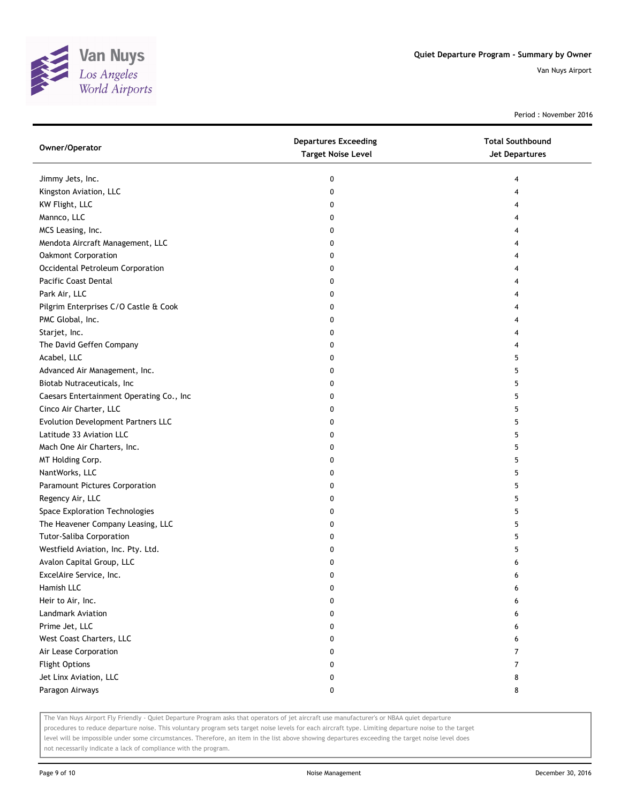

Period : November 2016

| Owner/Operator                           | <b>Departures Exceeding</b><br><b>Target Noise Level</b> | <b>Total Southbound</b><br>Jet Departures |
|------------------------------------------|----------------------------------------------------------|-------------------------------------------|
| Jimmy Jets, Inc.                         | 0                                                        | 4                                         |
| Kingston Aviation, LLC                   | 0                                                        | 4                                         |
| KW Flight, LLC                           | 0                                                        |                                           |
| Mannco, LLC                              | 0                                                        |                                           |
| MCS Leasing, Inc.                        | 0                                                        |                                           |
| Mendota Aircraft Management, LLC         | 0                                                        |                                           |
| Oakmont Corporation                      | 0                                                        |                                           |
| Occidental Petroleum Corporation         | 0                                                        |                                           |
| Pacific Coast Dental                     | 0                                                        |                                           |
| Park Air, LLC                            | 0                                                        |                                           |
| Pilgrim Enterprises C/O Castle & Cook    | 0                                                        |                                           |
| PMC Global, Inc.                         | 0                                                        |                                           |
| Starjet, Inc.                            | 0                                                        |                                           |
| The David Geffen Company                 | 0                                                        |                                           |
| Acabel, LLC                              | 0                                                        | 5                                         |
| Advanced Air Management, Inc.            | 0                                                        | 5                                         |
| Biotab Nutraceuticals, Inc               | 0                                                        | 5                                         |
| Caesars Entertainment Operating Co., Inc | 0                                                        | 5                                         |
| Cinco Air Charter, LLC                   | 0                                                        | 5                                         |
| Evolution Development Partners LLC       | 0                                                        | 5                                         |
| Latitude 33 Aviation LLC                 | 0                                                        | 5                                         |
| Mach One Air Charters, Inc.              | 0                                                        | 5                                         |
| MT Holding Corp.                         | 0                                                        | 5                                         |
| NantWorks, LLC                           | 0                                                        | 5                                         |
| Paramount Pictures Corporation           | 0                                                        | 5                                         |
| Regency Air, LLC                         | 0                                                        | 5                                         |
| Space Exploration Technologies           | 0                                                        | 5                                         |
| The Heavener Company Leasing, LLC        | 0                                                        | 5                                         |
| <b>Tutor-Saliba Corporation</b>          | 0                                                        | 5                                         |
| Westfield Aviation, Inc. Pty. Ltd.       | 0                                                        | 5                                         |
| Avalon Capital Group, LLC                | 0                                                        | 6                                         |
| ExcelAire Service, Inc.                  | 0                                                        | 6                                         |
| Hamish LLC                               | 0                                                        | 6                                         |
| Heir to Air, Inc.                        | 0                                                        | 6                                         |
| Landmark Aviation                        | 0                                                        | 6                                         |
| Prime Jet, LLC                           | 0                                                        | 6                                         |
| West Coast Charters, LLC                 | 0                                                        | 6                                         |
| Air Lease Corporation                    | 0                                                        | 7                                         |
| <b>Flight Options</b>                    | 0                                                        | 7                                         |
| Jet Linx Aviation, LLC                   | 0                                                        | 8                                         |
| Paragon Airways                          | 0                                                        | 8                                         |

The Van Nuys Airport Fly Friendly - Quiet Departure Program asks that operators of jet aircraft use manufacturer's or NBAA quiet departure